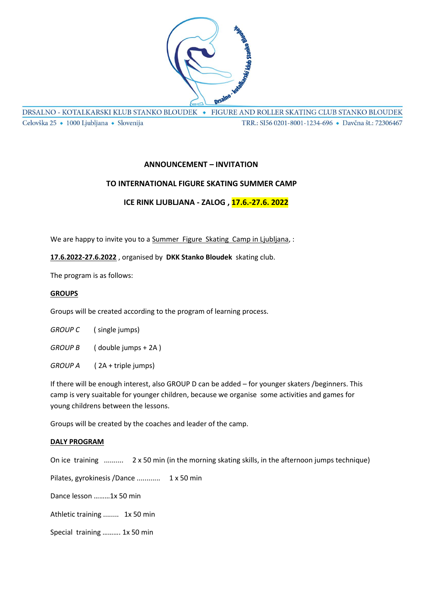

DRSALNO - KOTALKARSKI KLUB STANKO BLOUDEK · FIGURE AND ROLLER SKATING CLUB STANKO BLOUDEK Celovška 25 · 1000 Ljubljana · Slovenija TRR.: SI56 0201-8001-1234-696 · Davčna št.: 72306467

# **ANNOUNCEMENT – INVITATION**

### **TO INTERNATIONAL FIGURE SKATING SUMMER CAMP**

### **ICE RINK LJUBLJANA - ZALOG , 17.6.-27.6. 2022**

We are happy to invite you to a Summer Figure Skating Camp in Ljubljana, :

#### **17.6.2022-27.6.2022** , organised by **DKK Stanko Bloudek** skating club.

The program is as follows:

#### **GROUPS**

Groups will be created according to the program of learning process.

*GROUP C* ( single jumps)

*GROUP B* ( double jumps + 2A )

*GROUP A* ( 2A + triple jumps)

If there will be enough interest, also GROUP D can be added – for younger skaters /beginners. This camp is very suaitable for younger children, because we organise some activities and games for young childrens between the lessons.

Groups will be created by the coaches and leader of the camp.

#### **DALY PROGRAM**

On ice training .......... 2 x 50 min (in the morning skating skills, in the afternoon jumps technique)

Pilates, gyrokinesis /Dance ............ 1 x 50 min Dance lesson ………1x 50 min Athletic training ........ 1x 50 min Special training ………. 1x 50 min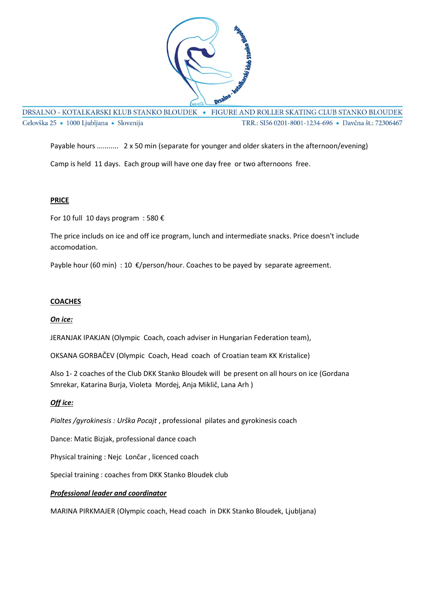

DRSALNO - KOTALKARSKI KLUB STANKO BLOUDEK · FIGURE AND ROLLER SKATING CLUB STANKO BLOUDEK Celovška 25 · 1000 Ljubljana · Slovenija TRR.: SI56 0201-8001-1234-696 · Davčna št.: 72306467

Payable hours ........... 2 x 50 min (separate for younger and older skaters in the afternoon/evening)

Camp is held 11 days. Each group will have one day free or two afternoons free.

### **PRICE**

For 10 full 10 days program : 580 €

The price includs on ice and off ice program, lunch and intermediate snacks. Price doesn't include accomodation.

Payble hour (60 min) : 10  $\epsilon$ /person/hour. Coaches to be payed by separate agreement.

## **COACHES**

### *On ice:*

JERANJAK IPAKJAN (Olympic Coach, coach adviser in Hungarian Federation team),

OKSANA GORBAČEV (Olympic Coach, Head coach of Croatian team KK Kristalice)

Also 1- 2 coaches of the Club DKK Stanko Bloudek will be present on all hours on ice (Gordana Smrekar, Katarina Burja, Violeta Mordej, Anja Miklič, Lana Arh )

### *Off ice:*

*Pialtes /gyrokinesis : Urška Pocajt* , professional pilates and gyrokinesis coach

Dance: Matic Bizjak, professional dance coach

Physical training : Nejc Lončar , licenced coach

Special training : coaches from DKK Stanko Bloudek club

### *Professional leader and coordinator*

MARINA PIRKMAJER (Olympic coach, Head coach in DKK Stanko Bloudek, Ljubljana)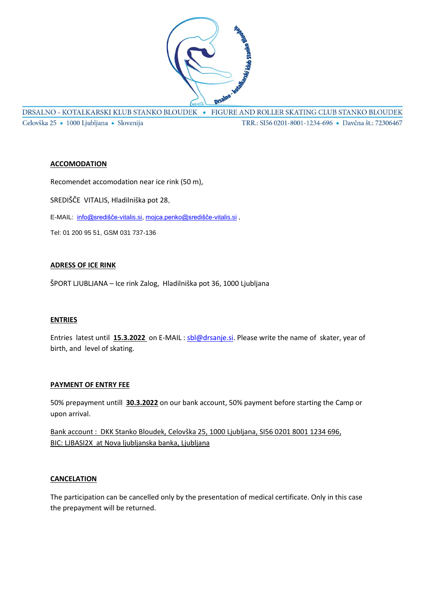

DRSALNO - KOTALKARSKI KLUB STANKO BLOUDEK • FIGURE AND ROLLER SKATING CLUB STANKO BLOUDEK Celovška 25 · 1000 Ljubljana · Slovenija TRR.: SI56 0201-8001-1234-696 · Davčna št.: 72306467

#### **ACCOMODATION**

Recomendet accomodation near ice rink (50 m), SREDIŠČE VITALIS, Hladilniška pot 28,

E-MAIL: [info@središče-vitalis.si,](mailto:info@središče-vitalis.si) [mojca.penko@središče-vitalis.si](mailto:mojca.penko@središče-vitalis.si) ,

Tel: 01 200 95 51, GSM 031 737-136

### **ADRESS OF ICE RINK**

ŠPORT LJUBLJANA – Ice rink Zalog, Hladilniška pot 36, 1000 Ljubljana

### **ENTRIES**

Entries latest until **15.3.2022** on E-MAIL : [sbl@drsanje.si.](mailto:sbl@drsanje.si) Please write the name of skater, year of birth, and level of skating.

#### **PAYMENT OF ENTRY FEE**

50% prepayment untill **30.3.2022** on our bank account, 50% payment before starting the Camp or upon arrival.

Bank account : DKK Stanko Bloudek, Celovška 25, 1000 Ljubljana, SI56 0201 8001 1234 696, BIC: LJBASI2X at Nova ljubljanska banka, Ljubljana

#### **CANCELATION**

The participation can be cancelled only by the presentation of medical certificate. Only in this case the prepayment will be returned.